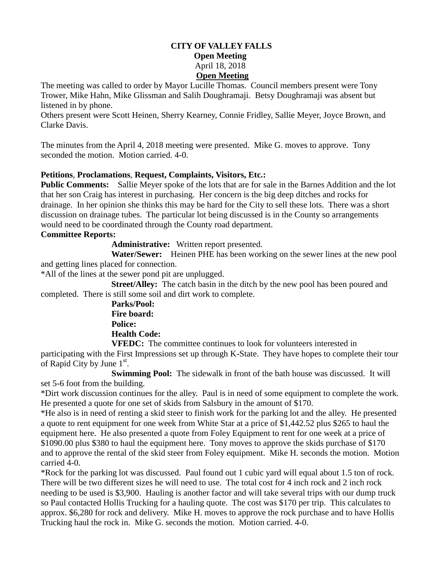## **CITY OF VALLEY FALLS Open Meeting** April 18, 2018 **Open Meeting**

The meeting was called to order by Mayor Lucille Thomas. Council members present were Tony Trower, Mike Hahn, Mike Glissman and Salih Doughramaji. Betsy Doughramaji was absent but listened in by phone.

Others present were Scott Heinen, Sherry Kearney, Connie Fridley, Sallie Meyer, Joyce Brown, and Clarke Davis.

The minutes from the April 4, 2018 meeting were presented. Mike G. moves to approve. Tony seconded the motion. Motion carried. 4-0.

## **Petitions**, **Proclamations**, **Request, Complaints, Visitors, Etc.:**

**Public Comments:** Sallie Meyer spoke of the lots that are for sale in the Barnes Addition and the lot that her son Craig has interest in purchasing. Her concern is the big deep ditches and rocks for drainage. In her opinion she thinks this may be hard for the City to sell these lots. There was a short discussion on drainage tubes. The particular lot being discussed is in the County so arrangements would need to be coordinated through the County road department.

## **Committee Reports:**

**Administrative:** Written report presented.

 **Water/Sewer:** Heinen PHE has been working on the sewer lines at the new pool and getting lines placed for connection.

\*All of the lines at the sewer pond pit are unplugged.

**Street/Alley:** The catch basin in the ditch by the new pool has been poured and completed. There is still some soil and dirt work to complete.

> **Parks/Pool: Fire board: Police: Health Code:**

**VFEDC:** The committee continues to look for volunteers interested in participating with the First Impressions set up through K-State. They have hopes to complete their tour of Rapid City by June  $1^{st}$ .

 **Swimming Pool:** The sidewalk in front of the bath house was discussed. It will set 5-6 foot from the building.

\*Dirt work discussion continues for the alley. Paul is in need of some equipment to complete the work. He presented a quote for one set of skids from Salsbury in the amount of \$170.

\*He also is in need of renting a skid steer to finish work for the parking lot and the alley. He presented a quote to rent equipment for one week from White Star at a price of \$1,442.52 plus \$265 to haul the equipment here. He also presented a quote from Foley Equipment to rent for one week at a price of \$1090.00 plus \$380 to haul the equipment here. Tony moves to approve the skids purchase of \$170 and to approve the rental of the skid steer from Foley equipment. Mike H. seconds the motion. Motion carried 4-0.

\*Rock for the parking lot was discussed. Paul found out 1 cubic yard will equal about 1.5 ton of rock. There will be two different sizes he will need to use. The total cost for 4 inch rock and 2 inch rock needing to be used is \$3,900. Hauling is another factor and will take several trips with our dump truck so Paul contacted Hollis Trucking for a hauling quote. The cost was \$170 per trip. This calculates to approx. \$6,280 for rock and delivery. Mike H. moves to approve the rock purchase and to have Hollis Trucking haul the rock in. Mike G. seconds the motion. Motion carried. 4-0.